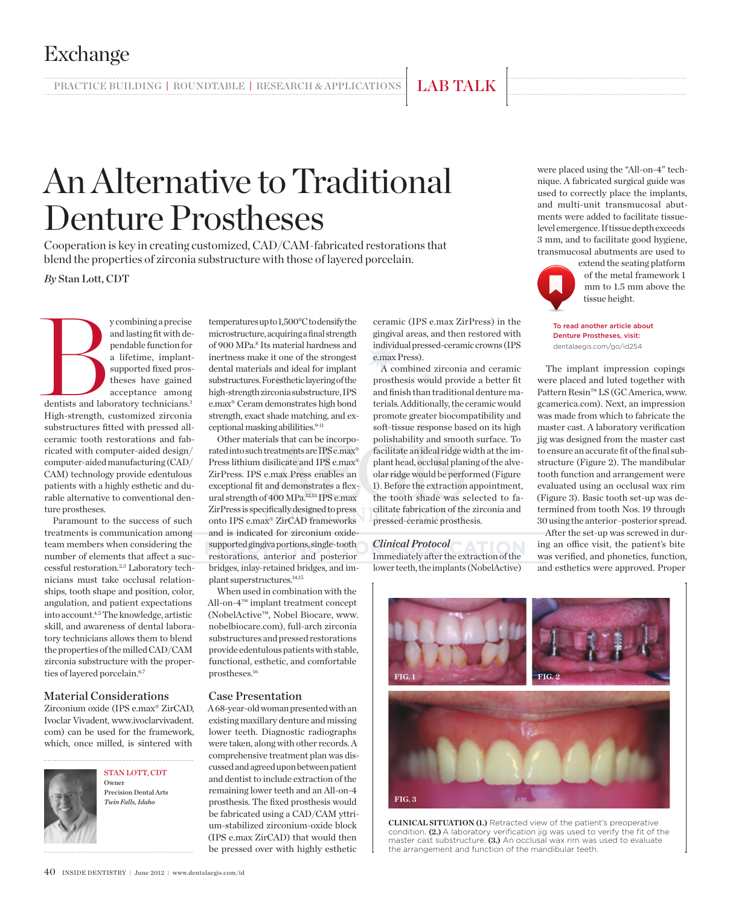Exchange

# An Alternative to Traditional Denture Prostheses

PRACTICE BUILDING | ROUNDTABLE | RESEARCH & APPLICATIONS | LAB TALK

Cooperation is key in creating customized, CAD/CAM-fabricated restorations that blend the properties of zirconia substructure with those of layered porcelain.

*By* Stan Lott, CDT

y combining a precise<br>and lasting fit with de-<br>pendable function for<br>a lifetime, implant-<br>supported fixed pros-<br>theses have gained<br>acceptance among<br>dentists and laboratory technicians.<sup>1</sup> and lasting fit with dependable function for a lifetime, implantsupported fixed prostheses have gained acceptance among dentists and laboratory technicians.<sup>1</sup> High-strength, customized zirconia substructures fitted with pressed allceramic tooth restorations and fabricated with computer-aided design/ computer-aided manufacturing (CAD/ CAM) technology provide edentulous patients with a highly esthetic and durable alternative to conventional denture prostheses.

Paramount to the success of such treatments is communication among team members when considering the number of elements that affect a successful restoration.2,3 Laboratory technicians must take occlusal relationships, tooth shape and position, color, angulation, and patient expectations into account.4,5 The knowledge, artistic skill, and awareness of dental laboratory technicians allows them to blend the properties of the milled CAD/CAM zirconia substructure with the properties of layered porcelain.<sup>6,7</sup>

## Material Considerations

Zirconium oxide (IPS e.max® ZirCAD, Ivoclar Vivadent, www.ivoclarvivadent. com) can be used for the framework, which, once milled, is sintered with



STAN LOTT, CDT Owner Precision Dental Arts *Twin Falls, Idaho*

temperatures up to 1,500°C to densify the microstructure, acquiring a final strength of 900 MPa.<sup>8</sup> Its material hardness and inertness make it one of the strongest dental materials and ideal for implant substructures. For esthetic layering of the high-strength zirconia substructure, IPS e.max® Ceram demonstrates high bond strength, exact shade matching, and exceptional masking abililities.<sup>9-11</sup>

Other materials that can be incorporated into such treatments are IPS e.max® Press lithium disilicate and IPS e.max® ZirPress. IPS e.max Press enables an exceptional fit and demonstrates a flexural strength of 400 MPa.12,13 IPS e.max ZirPress is specifically designed to press onto IPS e.max® ZirCAD frameworks and is indicated for zirconium oxidesupported gingiva portions, single-tooth restorations, anterior and posterior bridges, inlay-retained bridges, and implant superstructures.14,15

When used in combination with the All-on-4™ implant treatment concept (NobelActive™, Nobel Biocare, www. nobelbiocare.com), full-arch zirconia substructures and pressed restorations provide edentulous patients with stable, functional, esthetic, and comfortable prostheses.16

### Case Presentation

A 68-year-old woman presented with an existing maxillary denture and missing lower teeth. Diagnostic radiographs were taken, along with other records. A comprehensive treatment plan was discussed and agreed upon between patient and dentist to include extraction of the remaining lower teeth and an All-on-4 prosthesis. The fixed prosthesis would be fabricated using a CAD/CAM yttrium-stabilized zirconium-oxide block (IPS e.max ZirCAD) that would then be pressed over with highly esthetic

ceramic (IPS e.max ZirPress) in the gingival areas, and then restored with individual pressed-ceramic crowns (IPS e.max Press).

A combined zirconia and ceramic prosthesis would provide a better fit and finish than traditional denture materials. Additionally, the ceramic would promote greater biocompatibility and soft-tissue response based on its high polishability and smooth surface. To facilitate an ideal ridge width at the implant head, occlusal planing of the alveolar ridge would be performed (Figure 1). Before the extraction appointment, the tooth shade was selected to facilitate fabrication of the zirconia and pressed-ceramic prosthesis.

*Clinical Protocol* Immediately after the extraction of the lower teeth, the implants (NobelActive)

were placed using the "All-on-4" technique. A fabricated surgical guide was used to correctly place the implants, and multi-unit transmucosal abutments were added to facilitate tissuelevel emergence. If tissue depth exceeds 3 mm, and to facilitate good hygiene, transmucosal abutments are used to



extend the seating platform of the metal framework 1 mm to 1.5 mm above the tissue height.

To read another article about Denture Prostheses, visit: dentalaegis.com/go/id254

The implant impression copings were placed and luted together with Pattern Resin™ LS (GC America, www. gcamerica.com). Next, an impression was made from which to fabricate the master cast. A laboratory verification jig was designed from the master cast to ensure an accurate fit of the final substructure (Figure 2). The mandibular tooth function and arrangement were evaluated using an occlusal wax rim (Figure 3). Basic tooth set-up was determined from tooth Nos. 19 through 30 using the anterior–posterior spread.

After the set-up was screwed in during an office visit, the patient's bite was verified, and phonetics, function, and esthetics were approved. Proper



**CLINICAL SITUATION (1.)** Retracted view of the patient's preoperative condition. **(2.)** A laboratory verification jig was used to verify the fit of the master cast substructure. **(3.)** An occlusal wax rim was used to evaluate the arrangement and function of the mandibular teeth.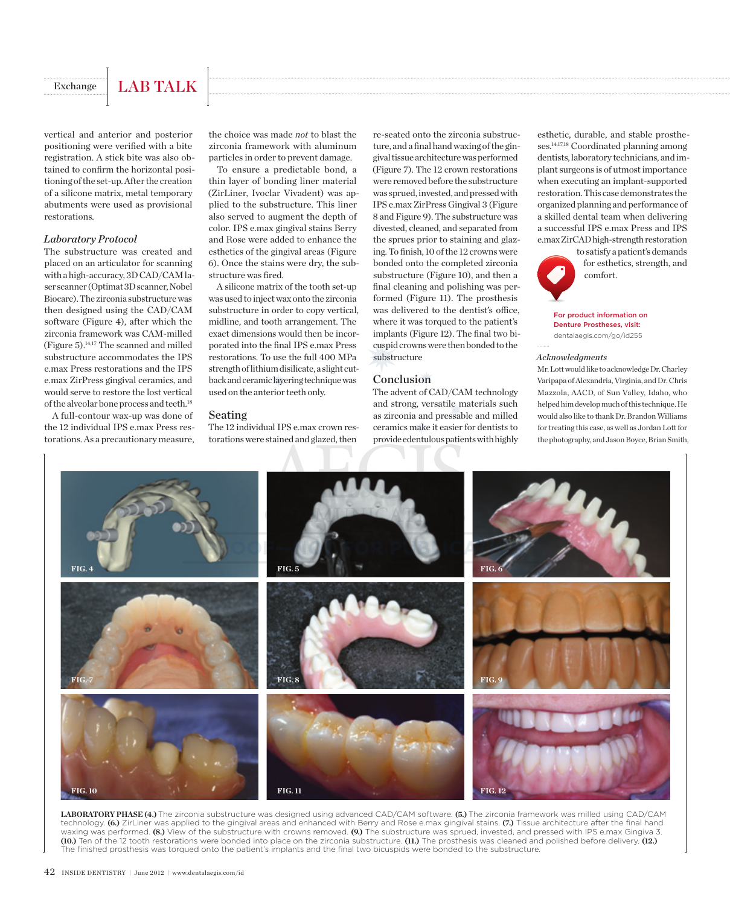# Exchange | LAB TALK

vertical and anterior and posterior positioning were verified with a bite registration. A stick bite was also obtained to confirm the horizontal positioning of the set-up. After the creation of a silicone matrix, metal temporary abutments were used as provisional restorations.

#### *Laboratory Protocol*

The substructure was created and placed on an articulator for scanning with a high-accuracy, 3D CAD/CAM laser scanner (Optimat 3D scanner, Nobel Biocare). The zirconia substructure was then designed using the CAD/CAM software (Figure 4), after which the zirconia framework was CAM-milled (Figure 5).14,17 The scanned and milled substructure accommodates the IPS e.max Press restorations and the IPS e.max ZirPress gingival ceramics, and would serve to restore the lost vertical of the alveolar bone process and teeth.18

A full-contour wax-up was done of the 12 individual IPS e.max Press restorations. As a precautionary measure, the choice was made *not* to blast the zirconia framework with aluminum particles in order to prevent damage.

To ensure a predictable bond, a thin layer of bonding liner material (ZirLiner, Ivoclar Vivadent) was applied to the substructure. This liner also served to augment the depth of color. IPS e.max gingival stains Berry and Rose were added to enhance the esthetics of the gingival areas (Figure 6). Once the stains were dry, the substructure was fired.

A silicone matrix of the tooth set-up was used to inject wax onto the zirconia substructure in order to copy vertical, midline, and tooth arrangement. The exact dimensions would then be incorporated into the final IPS e.max Press restorations. To use the full 400 MPa strength of lithium disilicate, a slight cutback and ceramic layering technique was used on the anterior teeth only.

#### Seating

The 12 individual IPS e.max crown restorations were stained and glazed, then

re-seated onto the zirconia substructure, and a final hand waxing of the gingival tissue architecture was performed (Figure 7). The 12 crown restorations were removed before the substructure was sprued, invested, and pressed with IPS e.max ZirPress Gingival 3 (Figure 8 and Figure 9). The substructure was divested, cleaned, and separated from the sprues prior to staining and glazing. To finish, 10 of the 12 crowns were bonded onto the completed zirconia substructure (Figure 10), and then a final cleaning and polishing was performed (Figure 11). The prosthesis was delivered to the dentist's office, where it was torqued to the patient's implants (Figure 12). The final two bicuspid crowns were then bonded to the substructure

#### Conclusion

The advent of CAD/CAM technology and strong, versatile materials such as zirconia and pressable and milled ceramics make it easier for dentists to provide edentulous patients with highly esthetic, durable, and stable prostheses.14,17,18 Coordinated planning among dentists, laboratory technicians, and implant surgeons is of utmost importance when executing an implant-supported restoration. This case demonstrates the organized planning and performance of a skilled dental team when delivering a successful IPS e.max Press and IPS e.max ZirCAD high-strength restoration



to satisfy a patient's demands for esthetics, strength, and comfort.

For product information on Denture Prostheses, visit: dentalaegis.com/go/id255

#### *Acknowledgments*

Mr. Lott would like to acknowledge Dr. Charley Varipapa of Alexandria, Virginia, and Dr. Chris Mazzola, AACD, of Sun Valley, Idaho, who helped him develop much of this technique. He would also like to thank Dr. Brandon Williams for treating this case, as well as Jordan Lott for the photography, and Jason Boyce, Brian Smith,



**LABORATORY PHASE (4.)** The zirconia substructure was designed using advanced CAD/CAM software. **(5.)** The zirconia framework was milled using CAD/CAM technology. **(6.)** ZirLiner was applied to the gingival areas and enhanced with Berry and Rose e.max gingival stains. **(7.)** Tissue architecture after the final hand waxing was performed. **(8.)** View of the substructure with crowns removed. **(9.)** The substructure was sprued, invested, and pressed with IPS e.max Gingiva 3. **(10.)** Ten of the 12 tooth restorations were bonded into place on the zirconia substructure. **(11.)** The prosthesis was cleaned and polished before delivery. **(12.)** The finished prosthesis was torqued onto the patient's implants and the final two bicuspids were bonded to the substructure.